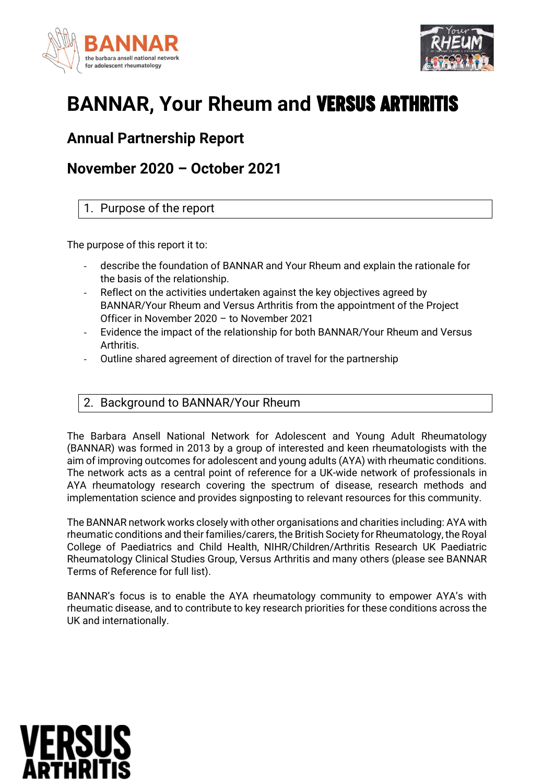



# **BANNAR, Your Rheum and** Versus Arthritis

# **Annual Partnership Report**

# **November 2020 – October 2021**

# 1. Purpose of the report

The purpose of this report it to:

- describe the foundation of BANNAR and Your Rheum and explain the rationale for the basis of the relationship.
- Reflect on the activities undertaken against the key objectives agreed by BANNAR/Your Rheum and Versus Arthritis from the appointment of the Project Officer in November 2020 – to November 2021
- Evidence the impact of the relationship for both BANNAR/Your Rheum and Versus Arthritis.
- Outline shared agreement of direction of travel for the partnership

# 2. Background to BANNAR/Your Rheum

The Barbara Ansell National Network for Adolescent and Young Adult Rheumatology (BANNAR) was formed in 2013 by a group of interested and keen rheumatologists with the aim of improving outcomes for adolescent and young adults (AYA) with rheumatic conditions. The network acts as a central point of reference for a UK-wide network of professionals in AYA rheumatology research covering the spectrum of disease, research methods and implementation science and provides signposting to relevant resources for this community.

The BANNAR network works closely with other organisations and charities including: AYA with rheumatic conditions and their families/carers, the British Society for Rheumatology, the Royal College of Paediatrics and Child Health, NIHR/Children/Arthritis Research UK Paediatric Rheumatology Clinical Studies Group, Versus Arthritis and many others (please see BANNAR Terms of Reference for full list).

BANNAR's focus is to enable the AYA rheumatology community to empower AYA's with rheumatic disease, and to contribute to key research priorities for these conditions across the UK and internationally.

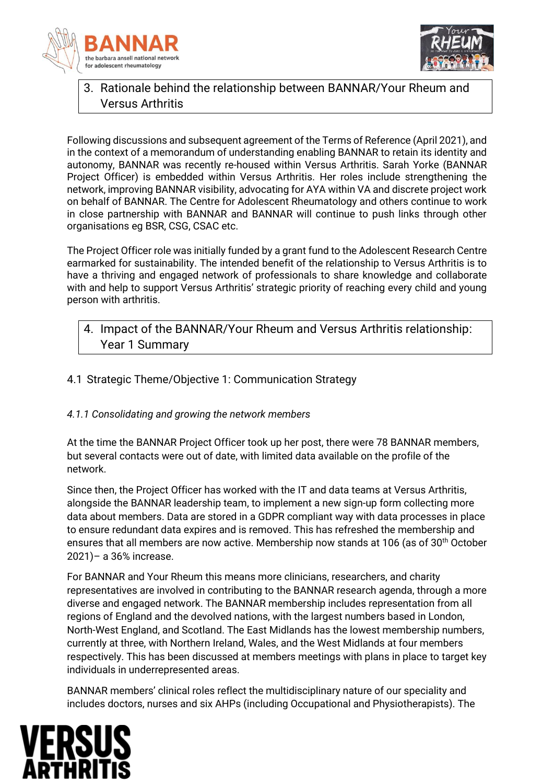



# 3. Rationale behind the relationship between BANNAR/Your Rheum and Versus Arthritis

Following discussions and subsequent agreement of the Terms of Reference (April 2021), and in the context of a memorandum of understanding enabling BANNAR to retain its identity and autonomy, BANNAR was recently re-housed within Versus Arthritis. Sarah Yorke (BANNAR Project Officer) is embedded within Versus Arthritis. Her roles include strengthening the network, improving BANNAR visibility, advocating for AYA within VA and discrete project work on behalf of BANNAR. The Centre for Adolescent Rheumatology and others continue to work in close partnership with BANNAR and BANNAR will continue to push links through other organisations eg BSR, CSG, CSAC etc.

The Project Officer role was initially funded by a grant fund to the Adolescent Research Centre earmarked for sustainability. The intended benefit of the relationship to Versus Arthritis is to have a thriving and engaged network of professionals to share knowledge and collaborate with and help to support Versus Arthritis' strategic priority of reaching every child and young person with arthritis.

# 4. Impact of the BANNAR/Your Rheum and Versus Arthritis relationship: Year 1 Summary

# 4.1 Strategic Theme/Objective 1: Communication Strategy

# *4.1.1 Consolidating and growing the network members*

At the time the BANNAR Project Officer took up her post, there were 78 BANNAR members, but several contacts were out of date, with limited data available on the profile of the network.

Since then, the Project Officer has worked with the IT and data teams at Versus Arthritis, alongside the BANNAR leadership team, to implement a new sign-up form collecting more data about members. Data are stored in a GDPR compliant way with data processes in place to ensure redundant data expires and is removed. This has refreshed the membership and ensures that all members are now active. Membership now stands at 106 (as of 30<sup>th</sup> October 2021)– a 36% increase.

For BANNAR and Your Rheum this means more clinicians, researchers, and charity representatives are involved in contributing to the BANNAR research agenda, through a more diverse and engaged network. The BANNAR membership includes representation from all regions of England and the devolved nations, with the largest numbers based in London, North-West England, and Scotland. The East Midlands has the lowest membership numbers, currently at three, with Northern Ireland, Wales, and the West Midlands at four members respectively. This has been discussed at members meetings with plans in place to target key individuals in underrepresented areas.

BANNAR members' clinical roles reflect the multidisciplinary nature of our speciality and includes doctors, nurses and six AHPs (including Occupational and Physiotherapists). The

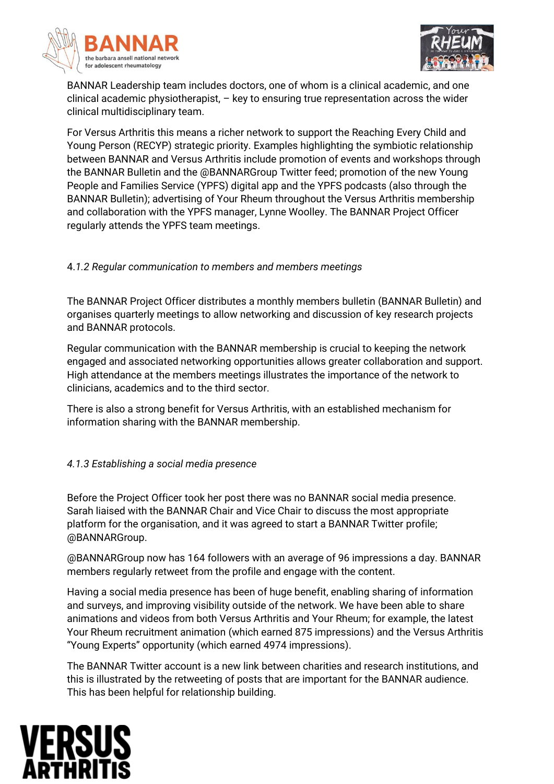



BANNAR Leadership team includes doctors, one of whom is a clinical academic, and one clinical academic physiotherapist, – key to ensuring true representation across the wider clinical multidisciplinary team.

For Versus Arthritis this means a richer network to support the Reaching Every Child and Young Person (RECYP) strategic priority. Examples highlighting the symbiotic relationship between BANNAR and Versus Arthritis include promotion of events and workshops through the BANNAR Bulletin and the @BANNARGroup Twitter feed; promotion of the new Young People and Families Service (YPFS) digital app and the YPFS podcasts (also through the BANNAR Bulletin); advertising of Your Rheum throughout the Versus Arthritis membership and collaboration with the YPFS manager, Lynne Woolley. The BANNAR Project Officer regularly attends the YPFS team meetings.

#### 4.*1.2 Regular communication to members and members meetings*

The BANNAR Project Officer distributes a monthly members bulletin (BANNAR Bulletin) and organises quarterly meetings to allow networking and discussion of key research projects and BANNAR protocols.

Regular communication with the BANNAR membership is crucial to keeping the network engaged and associated networking opportunities allows greater collaboration and support. High attendance at the members meetings illustrates the importance of the network to clinicians, academics and to the third sector.

There is also a strong benefit for Versus Arthritis, with an established mechanism for information sharing with the BANNAR membership.

#### *4.1.3 Establishing a social media presence*

Before the Project Officer took her post there was no BANNAR social media presence. Sarah liaised with the BANNAR Chair and Vice Chair to discuss the most appropriate platform for the organisation, and it was agreed to start a BANNAR Twitter profile; @BANNARGroup.

@BANNARGroup now has 164 followers with an average of 96 impressions a day. BANNAR members regularly retweet from the profile and engage with the content.

Having a social media presence has been of huge benefit, enabling sharing of information and surveys, and improving visibility outside of the network. We have been able to share animations and videos from both Versus Arthritis and Your Rheum; for example, the latest Your Rheum recruitment animation (which earned 875 impressions) and the Versus Arthritis "Young Experts" opportunity (which earned 4974 impressions).

The BANNAR Twitter account is a new link between charities and research institutions, and this is illustrated by the retweeting of posts that are important for the BANNAR audience. This has been helpful for relationship building.

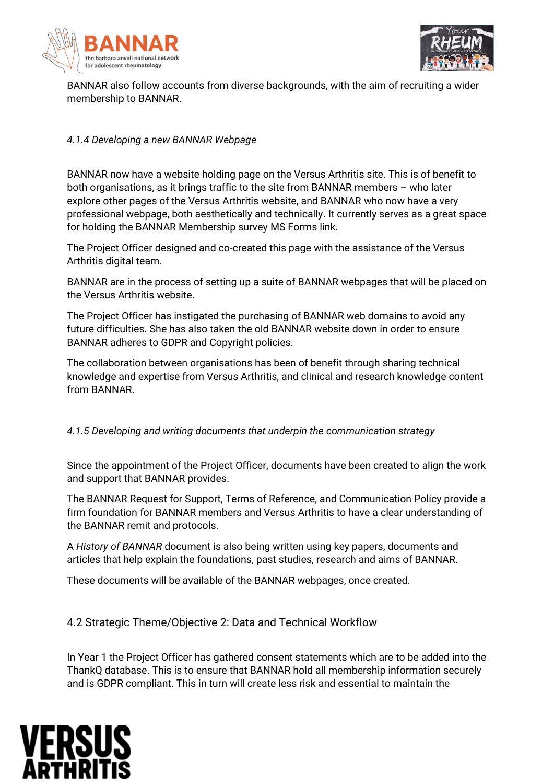



BANNAR also follow accounts from diverse backgrounds, with the aim of recruiting a wider membership to BANNAR.

#### *4.1.4 Developing a new BANNAR Webpage*

BANNAR now have a website holding page on the Versus Arthritis site. This is of benefit to both organisations, as it brings traffic to the site from BANNAR members – who later explore other pages of the Versus Arthritis website, and BANNAR who now have a very professional webpage, both aesthetically and technically. It currently serves as a great space for holding the BANNAR Membership survey MS Forms link.

The Project Officer designed and co-created this page with the assistance of the Versus Arthritis digital team.

BANNAR are in the process of setting up a suite of BANNAR webpages that will be placed on the Versus Arthritis website.

The Project Officer has instigated the purchasing of BANNAR web domains to avoid any future difficulties. She has also taken the old BANNAR website down in order to ensure BANNAR adheres to GDPR and Copyright policies.

The collaboration between organisations has been of benefit through sharing technical knowledge and expertise from Versus Arthritis, and clinical and research knowledge content from BANNAR.

*4.1.5 Developing and writing documents that underpin the communication strategy*

Since the appointment of the Project Officer, documents have been created to align the work and support that BANNAR provides.

The BANNAR Request for Support, Terms of Reference, and Communication Policy provide a firm foundation for BANNAR members and Versus Arthritis to have a clear understanding of the BANNAR remit and protocols.

A *History of BANNAR* document is also being written using key papers, documents and articles that help explain the foundations, past studies, research and aims of BANNAR.

These documents will be available of the BANNAR webpages, once created.

4.2 Strategic Theme/Objective 2: Data and Technical Workflow

In Year 1 the Project Officer has gathered consent statements which are to be added into the ThankQ database. This is to ensure that BANNAR hold all membership information securely and is GDPR compliant. This in turn will create less risk and essential to maintain the

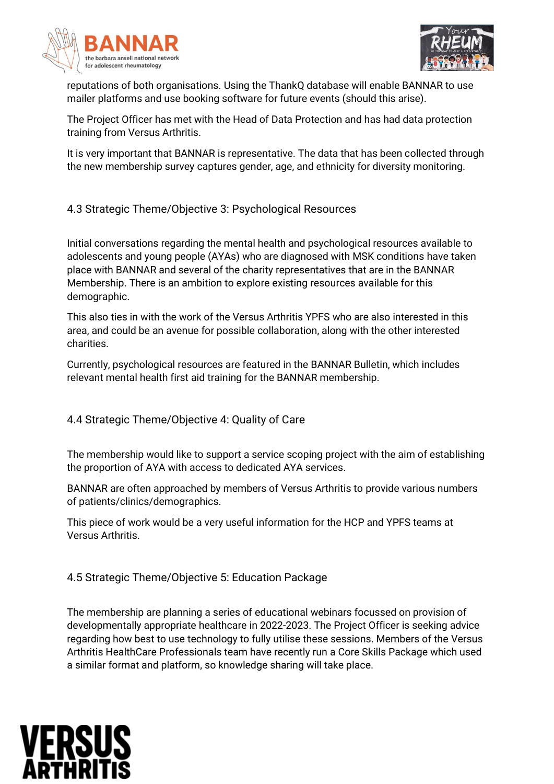



reputations of both organisations. Using the ThankQ database will enable BANNAR to use mailer platforms and use booking software for future events (should this arise).

The Project Officer has met with the Head of Data Protection and has had data protection training from Versus Arthritis.

It is very important that BANNAR is representative. The data that has been collected through the new membership survey captures gender, age, and ethnicity for diversity monitoring.

# 4.3 Strategic Theme/Objective 3: Psychological Resources

Initial conversations regarding the mental health and psychological resources available to adolescents and young people (AYAs) who are diagnosed with MSK conditions have taken place with BANNAR and several of the charity representatives that are in the BANNAR Membership. There is an ambition to explore existing resources available for this demographic.

This also ties in with the work of the Versus Arthritis YPFS who are also interested in this area, and could be an avenue for possible collaboration, along with the other interested charities.

Currently, psychological resources are featured in the BANNAR Bulletin, which includes relevant mental health first aid training for the BANNAR membership.

# 4.4 Strategic Theme/Objective 4: Quality of Care

The membership would like to support a service scoping project with the aim of establishing the proportion of AYA with access to dedicated AYA services.

BANNAR are often approached by members of Versus Arthritis to provide various numbers of patients/clinics/demographics.

This piece of work would be a very useful information for the HCP and YPFS teams at Versus Arthritis.

4.5 Strategic Theme/Objective 5: Education Package

The membership are planning a series of educational webinars focussed on provision of developmentally appropriate healthcare in 2022-2023. The Project Officer is seeking advice regarding how best to use technology to fully utilise these sessions. Members of the Versus Arthritis HealthCare Professionals team have recently run a Core Skills Package which used a similar format and platform, so knowledge sharing will take place.

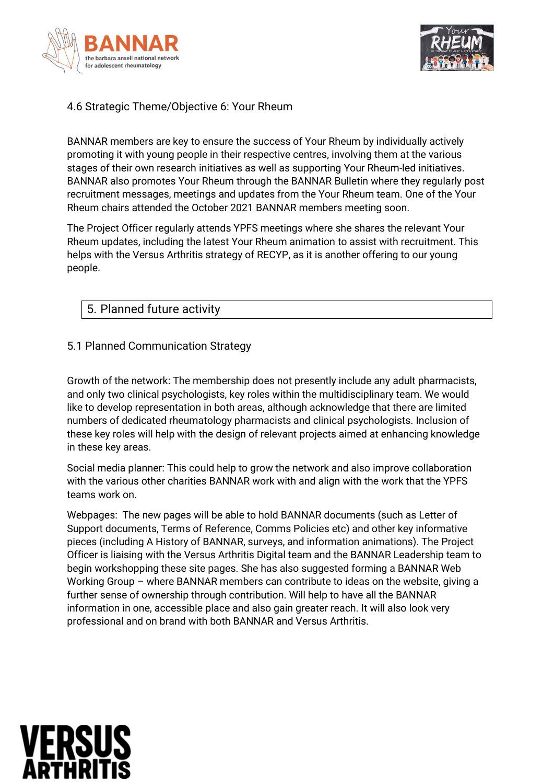



# 4.6 Strategic Theme/Objective 6: Your Rheum

BANNAR members are key to ensure the success of Your Rheum by individually actively promoting it with young people in their respective centres, involving them at the various stages of their own research initiatives as well as supporting Your Rheum-led initiatives. BANNAR also promotes Your Rheum through the BANNAR Bulletin where they regularly post recruitment messages, meetings and updates from the Your Rheum team. One of the Your Rheum chairs attended the October 2021 BANNAR members meeting soon.

The Project Officer regularly attends YPFS meetings where she shares the relevant Your Rheum updates, including the latest Your Rheum animation to assist with recruitment. This helps with the Versus Arthritis strategy of RECYP, as it is another offering to our young people.

# 5. Planned future activity

#### 5.1 Planned Communication Strategy

Growth of the network: The membership does not presently include any adult pharmacists, and only two clinical psychologists, key roles within the multidisciplinary team. We would like to develop representation in both areas, although acknowledge that there are limited numbers of dedicated rheumatology pharmacists and clinical psychologists. Inclusion of these key roles will help with the design of relevant projects aimed at enhancing knowledge in these key areas.

Social media planner: This could help to grow the network and also improve collaboration with the various other charities BANNAR work with and align with the work that the YPFS teams work on.

Webpages: The new pages will be able to hold BANNAR documents (such as Letter of Support documents, Terms of Reference, Comms Policies etc) and other key informative pieces (including A History of BANNAR, surveys, and information animations). The Project Officer is liaising with the Versus Arthritis Digital team and the BANNAR Leadership team to begin workshopping these site pages. She has also suggested forming a BANNAR Web Working Group – where BANNAR members can contribute to ideas on the website, giving a further sense of ownership through contribution. Will help to have all the BANNAR information in one, accessible place and also gain greater reach. It will also look very professional and on brand with both BANNAR and Versus Arthritis.

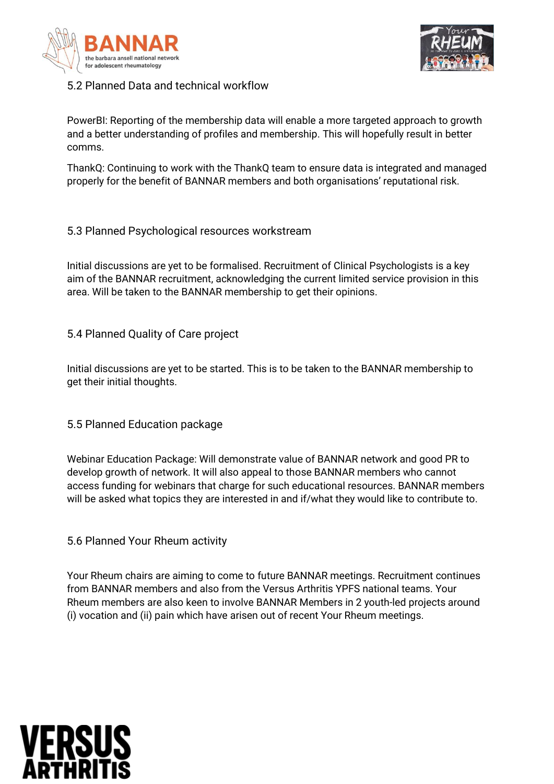



#### 5.2 Planned Data and technical workflow

PowerBI: Reporting of the membership data will enable a more targeted approach to growth and a better understanding of profiles and membership. This will hopefully result in better comms.

ThankQ: Continuing to work with the ThankQ team to ensure data is integrated and managed properly for the benefit of BANNAR members and both organisations' reputational risk.

#### 5.3 Planned Psychological resources workstream

Initial discussions are yet to be formalised. Recruitment of Clinical Psychologists is a key aim of the BANNAR recruitment, acknowledging the current limited service provision in this area. Will be taken to the BANNAR membership to get their opinions.

#### 5.4 Planned Quality of Care project

Initial discussions are yet to be started. This is to be taken to the BANNAR membership to get their initial thoughts.

5.5 Planned Education package

Webinar Education Package: Will demonstrate value of BANNAR network and good PR to develop growth of network. It will also appeal to those BANNAR members who cannot access funding for webinars that charge for such educational resources. BANNAR members will be asked what topics they are interested in and if/what they would like to contribute to.

#### 5.6 Planned Your Rheum activity

Your Rheum chairs are aiming to come to future BANNAR meetings. Recruitment continues from BANNAR members and also from the Versus Arthritis YPFS national teams. Your Rheum members are also keen to involve BANNAR Members in 2 youth-led projects around (i) vocation and (ii) pain which have arisen out of recent Your Rheum meetings.

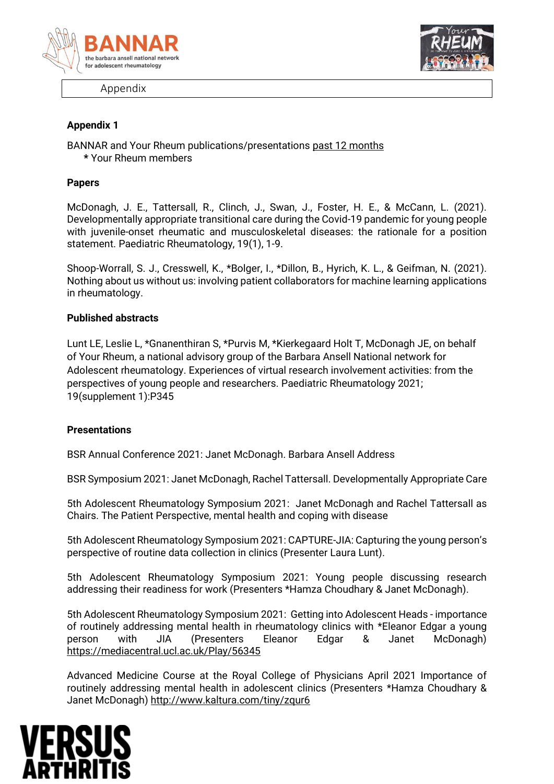

Appendix



#### **Appendix 1**

BANNAR and Your Rheum publications/presentations past 12 months **\*** Your Rheum members

#### **Papers**

McDonagh, J. E., Tattersall, R., Clinch, J., Swan, J., Foster, H. E., & McCann, L. (2021). Developmentally appropriate transitional care during the Covid-19 pandemic for young people with juvenile-onset rheumatic and musculoskeletal diseases: the rationale for a position statement. Paediatric Rheumatology, 19(1), 1-9.

Shoop-Worrall, S. J., Cresswell, K., \*Bolger, I., \*Dillon, B., Hyrich, K. L., & Geifman, N. (2021). Nothing about us without us: involving patient collaborators for machine learning applications in rheumatology.

#### **Published abstracts**

Lunt LE, Leslie L, \*Gnanenthiran S, \*Purvis M, \*Kierkegaard Holt T, McDonagh JE, on behalf of Your Rheum, a national advisory group of the Barbara Ansell National network for Adolescent rheumatology. Experiences of virtual research involvement activities: from the perspectives of young people and researchers. Paediatric Rheumatology 2021; 19(supplement 1):P345

#### **Presentations**

BSR Annual Conference 2021: Janet McDonagh. Barbara Ansell Address

BSR Symposium 2021: Janet McDonagh, Rachel Tattersall. Developmentally Appropriate Care

5th Adolescent Rheumatology Symposium 2021: Janet McDonagh and Rachel Tattersall as Chairs. The Patient Perspective, mental health and coping with disease

5th Adolescent Rheumatology Symposium 2021: CAPTURE-JIA: Capturing the young person's perspective of routine data collection in clinics (Presenter Laura Lunt).

5th Adolescent Rheumatology Symposium 2021: Young people discussing research addressing their readiness for work (Presenters \*Hamza Choudhary & Janet McDonagh).

5th Adolescent Rheumatology Symposium 2021: Getting into Adolescent Heads - importance of routinely addressing mental health in rheumatology clinics with \*Eleanor Edgar a young person with JIA (Presenters Eleanor Edgar & Janet McDonagh) <https://mediacentral.ucl.ac.uk/Play/56345>

Advanced Medicine Course at the Royal College of Physicians April 2021 Importance of routinely addressing mental health in adolescent clinics (Presenters \*Hamza Choudhary & Janet McDonagh)<http://www.kaltura.com/tiny/zqur6>

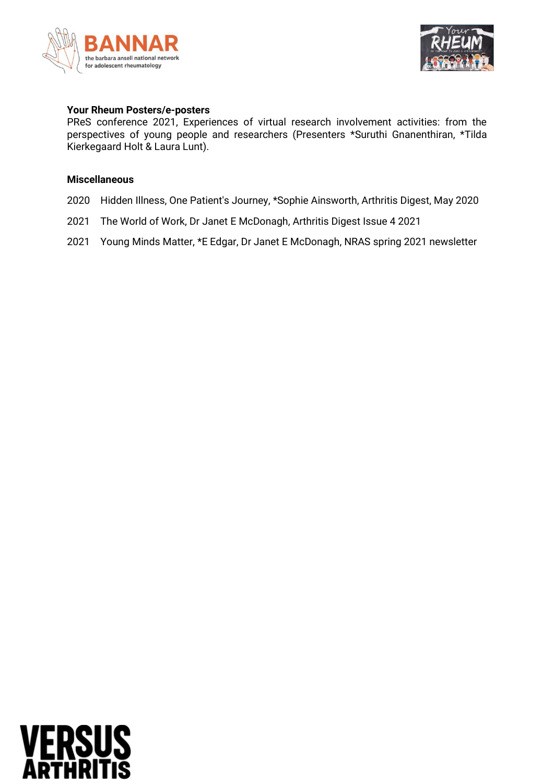



#### **Your Rheum Posters/e-posters**

PReS conference 2021, Experiences of virtual research involvement activities: from the perspectives of young people and researchers (Presenters \*Suruthi Gnanenthiran, \*Tilda Kierkegaard Holt & Laura Lunt).

#### **Miscellaneous**

- 2020 Hidden Illness, One Patient's Journey, \*Sophie Ainsworth, Arthritis Digest, May 2020
- 2021 The World of Work, Dr Janet E McDonagh, Arthritis Digest Issue 4 2021
- 2021 Young Minds Matter, \*E Edgar, Dr Janet E McDonagh, NRAS spring 2021 newsletter